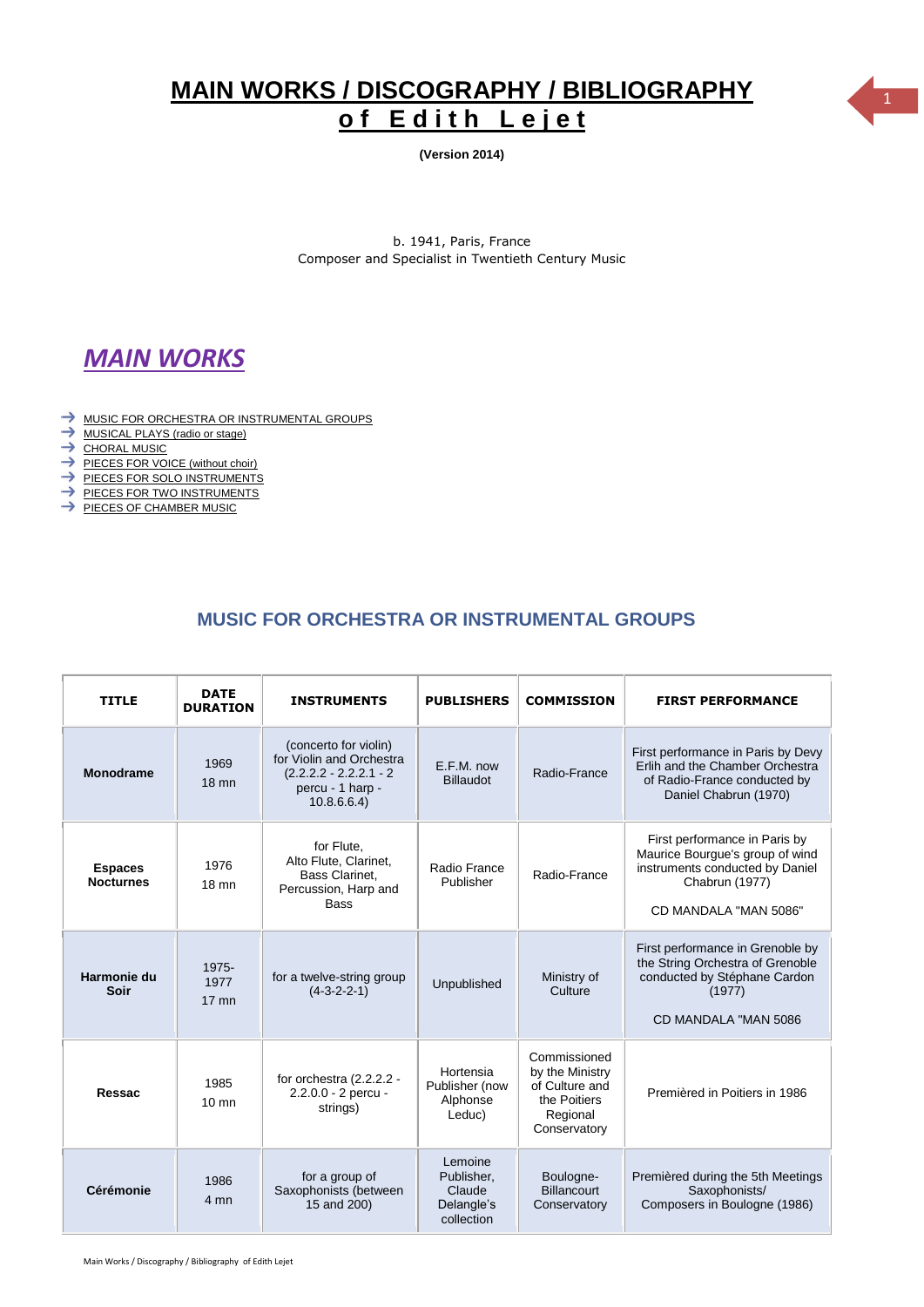# **MAIN WORKS / DISCOGRAPHY** <sup>1</sup> **/ BIBLIOGRAPHY** of Edith Lejet

**(Version 2014)**

b. 1941, Paris, France Composer and Specialist in Twentieth Century Music

# *MAIN WORKS*

- $\rightarrow$  [MUSIC FOR ORCHESTRA OR INSTRUMENTAL GROUPS](#page-0-0)
- $\rightarrow$  [MUSICAL PLAYS \(radio or stage\)](#page-1-0)
- $\rightarrow$  [CHORAL MUSIC](#page-2-0)
- [PIECES FOR VOICE \(without choir\)](#page-3-0)
- [PIECES FOR SOLO INSTRUMENTS](#page-3-1)
- $\rightarrow$  [PIECES FOR TWO INSTRUMENTS](#page-4-0)
- [PIECES OF CHAMBER MUSIC](#page-5-0)

### **MUSIC FOR ORCHESTRA OR INSTRUMENTAL GROUPS**

<span id="page-0-0"></span>

| <b>TITLE</b>                       | <b>DATE</b><br><b>DURATION</b> | <b>INSTRUMENTS</b>                                                                                               | <b>PUBLISHERS</b>                                           | <b>COMMISSION</b>                                                                             | <b>FIRST PERFORMANCE</b>                                                                                                                       |
|------------------------------------|--------------------------------|------------------------------------------------------------------------------------------------------------------|-------------------------------------------------------------|-----------------------------------------------------------------------------------------------|------------------------------------------------------------------------------------------------------------------------------------------------|
| <b>Monodrame</b>                   | 1969<br>$18 \text{ mm}$        | (concerto for violin)<br>for Violin and Orchestra<br>$(2.2.2.2 - 2.2.2.1 - 2)$<br>percu - 1 harp -<br>10.8.6.6.4 | E.F.M. now<br><b>Billaudot</b>                              | Radio-France                                                                                  | First performance in Paris by Devy<br>Erlih and the Chamber Orchestra<br>of Radio-France conducted by<br>Daniel Chabrun (1970)                 |
| <b>Espaces</b><br><b>Nocturnes</b> | 1976<br>$18 \text{ mm}$        | for Flute,<br>Alto Flute, Clarinet,<br><b>Bass Clarinet,</b><br>Percussion, Harp and<br>Bass                     | Radio France<br>Publisher                                   | Radio-France                                                                                  | First performance in Paris by<br>Maurice Bourgue's group of wind<br>instruments conducted by Daniel<br>Chabrun (1977)<br>CD MANDALA "MAN 5086" |
| Harmonie du<br>Soir                | 1975-<br>1977<br>$17$ mn       | for a twelve-string group<br>$(4-3-2-2-1)$                                                                       | Unpublished                                                 | Ministry of<br>Culture                                                                        | First performance in Grenoble by<br>the String Orchestra of Grenoble<br>conducted by Stéphane Cardon<br>(1977)<br>CD MANDALA "MAN 5086         |
| Ressac                             | 1985<br>$10 \text{ mm}$        | for orchestra (2.2.2.2 -<br>2.2.0.0 - 2 percu -<br>strings)                                                      | Hortensia<br>Publisher (now<br>Alphonse<br>Leduc)           | Commissioned<br>by the Ministry<br>of Culture and<br>the Poitiers<br>Regional<br>Conservatory | Premièred in Poitiers in 1986                                                                                                                  |
| Cérémonie                          | 1986<br>4 mn                   | for a group of<br>Saxophonists (between<br>15 and 200)                                                           | Lemoine<br>Publisher,<br>Claude<br>Delangle's<br>collection | Boulogne-<br><b>Billancourt</b><br>Conservatory                                               | Premièred during the 5th Meetings<br>Saxophonists/<br>Composers in Boulogne (1986)                                                             |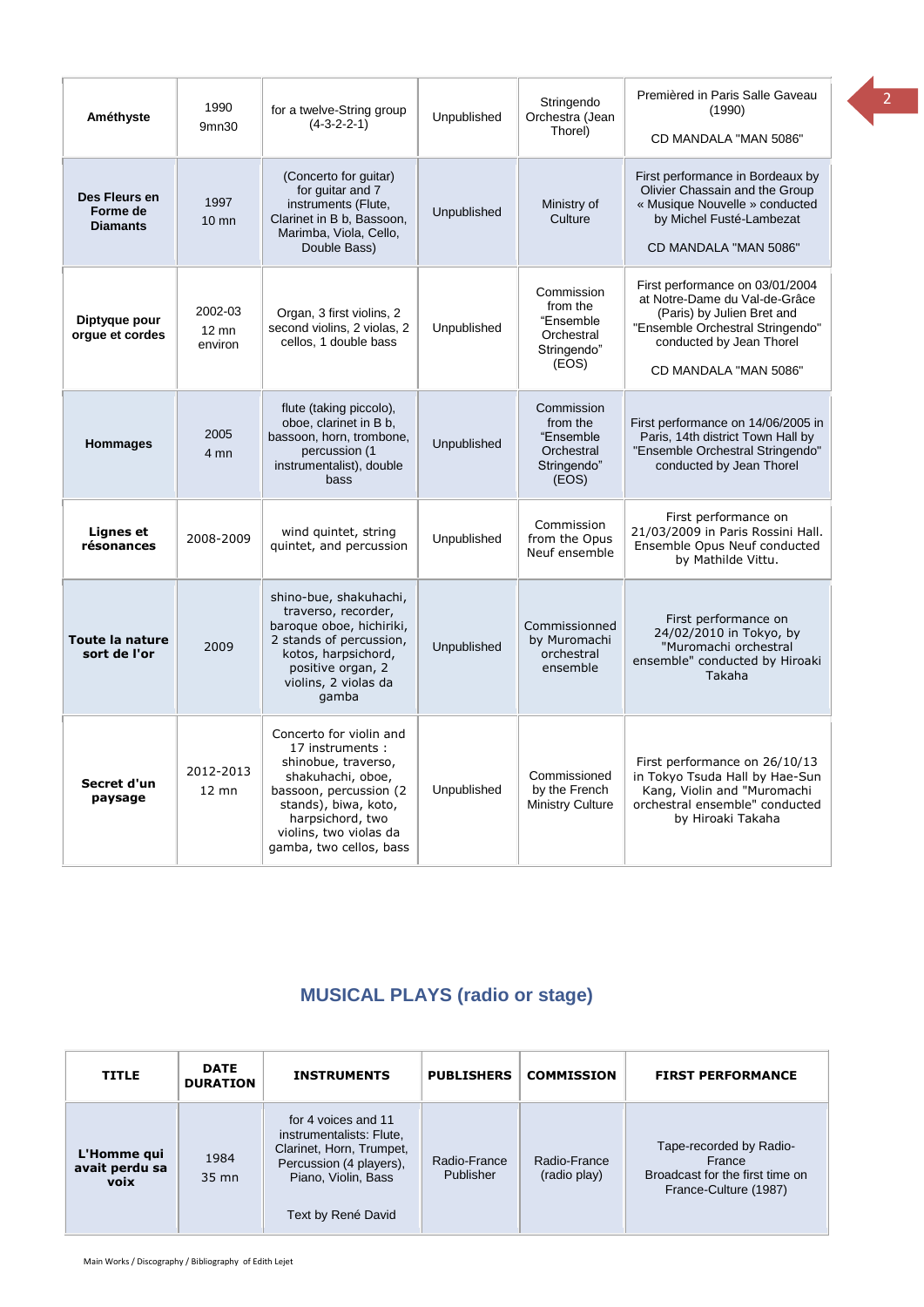| Améthyste                                    | 1990<br>9mn30                         | for a twelve-String group<br>$(4-3-2-2-1)$                                                                                                                                                                        | Unpublished | Stringendo<br>Orchestra (Jean<br>Thorel)                                  | Premièred in Paris Salle Gaveau<br>(1990)<br>CD MANDALA "MAN 5086"                                                                                                                      |
|----------------------------------------------|---------------------------------------|-------------------------------------------------------------------------------------------------------------------------------------------------------------------------------------------------------------------|-------------|---------------------------------------------------------------------------|-----------------------------------------------------------------------------------------------------------------------------------------------------------------------------------------|
| Des Fleurs en<br>Forme de<br><b>Diamants</b> | 1997<br>$10 \text{ mm}$               | (Concerto for guitar)<br>for guitar and 7<br>instruments (Flute,<br>Clarinet in B b, Bassoon,<br>Marimba, Viola, Cello,<br>Double Bass)                                                                           | Unpublished | Ministry of<br>Culture                                                    | First performance in Bordeaux by<br>Olivier Chassain and the Group<br>« Musique Nouvelle » conducted<br>by Michel Fusté-Lambezat<br>CD MANDALA "MAN 5086"                               |
| Diptyque pour<br>orgue et cordes             | 2002-03<br>$12 \text{ mm}$<br>environ | Organ, 3 first violins, 2<br>second violins, 2 violas, 2<br>cellos, 1 double bass                                                                                                                                 | Unpublished | Commission<br>from the<br>"Ensemble<br>Orchestral<br>Stringendo"<br>(EOS) | First performance on 03/01/2004<br>at Notre-Dame du Val-de-Grâce<br>(Paris) by Julien Bret and<br>"Ensemble Orchestral Stringendo"<br>conducted by Jean Thorel<br>CD MANDALA "MAN 5086" |
| <b>Hommages</b>                              | 2005<br>4 mn                          | flute (taking piccolo),<br>oboe, clarinet in B b,<br>bassoon, horn, trombone,<br>percussion (1<br>instrumentalist), double<br>bass                                                                                | Unpublished | Commission<br>from the<br>"Ensemble<br>Orchestral<br>Stringendo"<br>(EOS) | First performance on 14/06/2005 in<br>Paris, 14th district Town Hall by<br>"Ensemble Orchestral Stringendo"<br>conducted by Jean Thorel                                                 |
| Lignes et<br>résonances                      | 2008-2009                             | wind quintet, string<br>quintet, and percussion                                                                                                                                                                   | Unpublished | Commission<br>from the Opus<br>Neuf ensemble                              | First performance on<br>21/03/2009 in Paris Rossini Hall.<br>Ensemble Opus Neuf conducted<br>by Mathilde Vittu.                                                                         |
| Toute la nature<br>sort de l'or              | 2009                                  | shino-bue, shakuhachi,<br>traverso, recorder,<br>baroque oboe, hichiriki,<br>2 stands of percussion,<br>kotos, harpsichord,<br>positive organ, 2<br>violins, 2 violas da<br>gamba                                 | Unpublished | Commissionned<br>by Muromachi<br>orchestral<br>ensemble                   | First performance on<br>24/02/2010 in Tokyo, by<br>"Muromachi orchestral<br>ensemble" conducted by Hiroaki<br>Takaha                                                                    |
| Secret d'un<br>paysage                       | 2012-2013<br>$12 \text{ mm}$          | Concerto for violin and<br>17 instruments:<br>shinobue, traverso,<br>shakuhachi, oboe,<br>bassoon, percussion (2<br>stands), biwa, koto,<br>harpsichord, two<br>violins, two violas da<br>gamba, two cellos, bass | Unpublished | Commissioned<br>by the French<br><b>Ministry Culture</b>                  | First performance on 26/10/13<br>in Tokyo Tsuda Hall by Hae-Sun<br>Kang, Violin and "Muromachi<br>orchestral ensemble" conducted<br>by Hiroaki Takaha                                   |

## **MUSICAL PLAYS (radio or stage)**

<span id="page-1-0"></span>

| <b>TITLE</b>                          | <b>DATE</b><br><b>DURATION</b> | <b>INSTRUMENTS</b>                                                                                                                                  | <b>PUBLISHERS</b>         | <b>COMMISSION</b>            | <b>FIRST PERFORMANCE</b>                                                                      |
|---------------------------------------|--------------------------------|-----------------------------------------------------------------------------------------------------------------------------------------------------|---------------------------|------------------------------|-----------------------------------------------------------------------------------------------|
| L'Homme qui<br>avait perdu sa<br>voix | 1984<br>$35 \text{ mm}$        | for 4 voices and 11<br>instrumentalists: Flute,<br>Clarinet, Horn, Trumpet,<br>Percussion (4 players),<br>Piano, Violin, Bass<br>Text by René David | Radio-France<br>Publisher | Radio-France<br>(radio play) | Tape-recorded by Radio-<br>France<br>Broadcast for the first time on<br>France-Culture (1987) |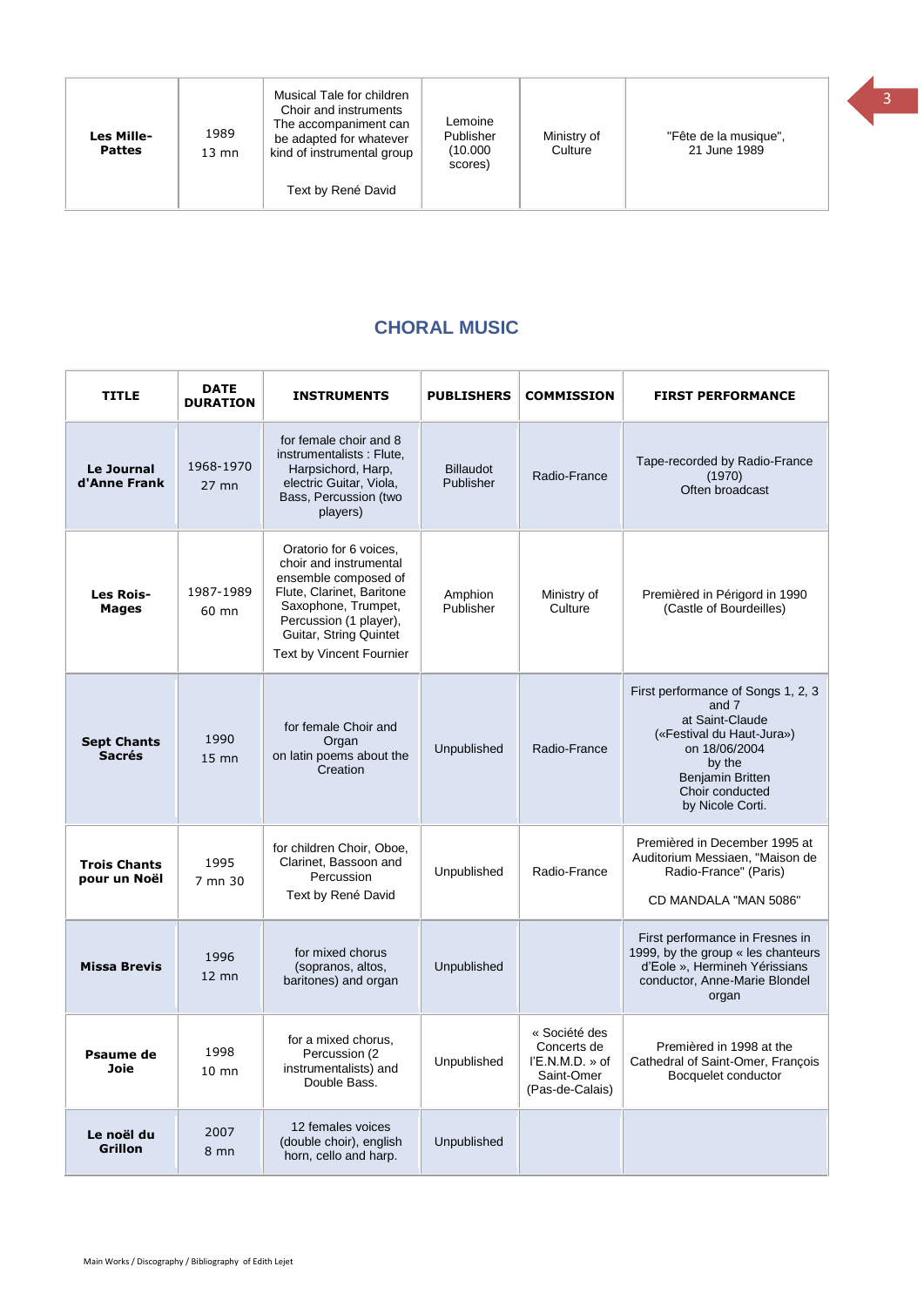| Les Mille-<br><b>Pattes</b> | 1989<br>$13 \text{ mm}$ | Musical Tale for children<br>Choir and instruments<br>The accompaniment can<br>be adapted for whatever<br>kind of instrumental group<br>Text by René David | Lemoine<br>Publisher<br>(10.000)<br>scores) | Ministry of<br>Culture | "Fête de la musique",<br>21 June 1989 |  |
|-----------------------------|-------------------------|------------------------------------------------------------------------------------------------------------------------------------------------------------|---------------------------------------------|------------------------|---------------------------------------|--|
|-----------------------------|-------------------------|------------------------------------------------------------------------------------------------------------------------------------------------------------|---------------------------------------------|------------------------|---------------------------------------|--|

### **CHORAL MUSIC**

<span id="page-2-0"></span>

| <b>TITLE</b>                        | <b>DATE</b><br><b>DURATION</b> | <b>INSTRUMENTS</b>                                                                                                                                                                                           | <b>PUBLISHERS</b>             | <b>COMMISSION</b>                                                                  | <b>FIRST PERFORMANCE</b>                                                                                                                                                                 |
|-------------------------------------|--------------------------------|--------------------------------------------------------------------------------------------------------------------------------------------------------------------------------------------------------------|-------------------------------|------------------------------------------------------------------------------------|------------------------------------------------------------------------------------------------------------------------------------------------------------------------------------------|
| Le Journal<br>d'Anne Frank          | 1968-1970<br>$27$ mn           | for female choir and 8<br>instrumentalists: Flute,<br>Harpsichord, Harp,<br>electric Guitar, Viola,<br>Bass, Percussion (two<br>players)                                                                     | <b>Billaudot</b><br>Publisher | Radio-France                                                                       | Tape-recorded by Radio-France<br>(1970)<br>Often broadcast                                                                                                                               |
| <b>Les Rois-</b><br><b>Mages</b>    | 1987-1989<br>60 mn             | Oratorio for 6 voices.<br>choir and instrumental<br>ensemble composed of<br>Flute, Clarinet, Baritone<br>Saxophone, Trumpet,<br>Percussion (1 player),<br>Guitar, String Quintet<br>Text by Vincent Fournier | Amphion<br>Publisher          | Ministry of<br>Culture                                                             | Premièred in Périgord in 1990<br>(Castle of Bourdeilles)                                                                                                                                 |
| <b>Sept Chants</b><br><b>Sacrés</b> | 1990<br>$15 \text{ mm}$        | for female Choir and<br>Organ<br>on latin poems about the<br>Creation                                                                                                                                        | Unpublished                   | Radio-France                                                                       | First performance of Songs 1, 2, 3<br>and 7<br>at Saint-Claude<br>(«Festival du Haut-Jura»)<br>on 18/06/2004<br>by the<br><b>Benjamin Britten</b><br>Choir conducted<br>by Nicole Corti. |
| <b>Trois Chants</b><br>pour un Noël | 1995<br>7 mn 30                | for children Choir, Oboe,<br>Clarinet, Bassoon and<br>Percussion<br>Text by René David                                                                                                                       | Unpublished                   | Radio-France                                                                       | Premièred in December 1995 at<br>Auditorium Messiaen, "Maison de<br>Radio-France" (Paris)<br>CD MANDALA "MAN 5086"                                                                       |
| <b>Missa Brevis</b>                 | 1996<br>$12$ mn                | for mixed chorus<br>(sopranos, altos,<br>baritones) and organ                                                                                                                                                | Unpublished                   |                                                                                    | First performance in Fresnes in<br>1999, by the group « les chanteurs<br>d'Eole », Hermineh Yérissians<br>conductor, Anne-Marie Blondel<br>organ                                         |
| Psaume de<br>Joie                   | 1998<br>$10$ mn                | for a mixed chorus.<br>Percussion (2)<br>instrumentalists) and<br>Double Bass.                                                                                                                               | Unpublished                   | « Société des<br>Concerts de<br>$I'E.N.M.D.$ » of<br>Saint-Omer<br>(Pas-de-Calais) | Premièred in 1998 at the<br>Cathedral of Saint-Omer, François<br>Bocquelet conductor                                                                                                     |
| Le noël du<br><b>Grillon</b>        | 2007<br>8 <sub>mn</sub>        | 12 females voices<br>(double choir), english<br>horn, cello and harp.                                                                                                                                        | Unpublished                   |                                                                                    |                                                                                                                                                                                          |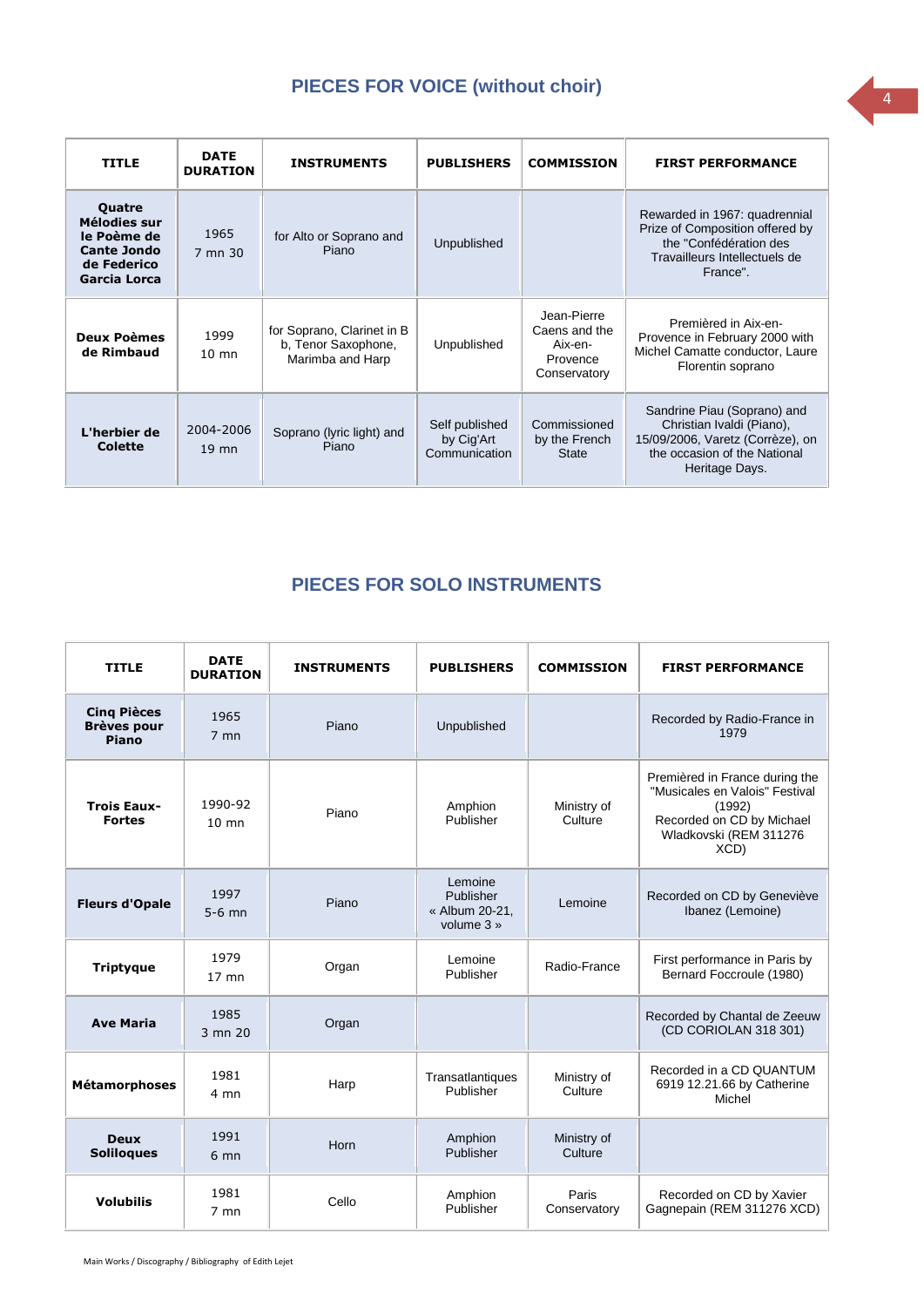## **PIECES FOR VOICE (without choir)**

<span id="page-3-0"></span>

| <b>TITLE</b>                                                                                      | <b>DATE</b><br><b>DURATION</b> | <b>INSTRUMENTS</b>                                                    | <b>PUBLISHERS</b>                             | <b>COMMISSION</b>                                                   | <b>FIRST PERFORMANCE</b>                                                                                                                       |
|---------------------------------------------------------------------------------------------------|--------------------------------|-----------------------------------------------------------------------|-----------------------------------------------|---------------------------------------------------------------------|------------------------------------------------------------------------------------------------------------------------------------------------|
| <b>Quatre</b><br>Mélodies sur<br>le Poème de<br><b>Cante Jondo</b><br>de Federico<br>Garcia Lorca | 1965<br>7 mn 30                | for Alto or Soprano and<br>Piano                                      | Unpublished                                   |                                                                     | Rewarded in 1967: quadrennial<br>Prize of Composition offered by<br>the "Confédération des<br>Travailleurs Intellectuels de<br>France".        |
| <b>Deux Poèmes</b><br>de Rimbaud                                                                  | 1999<br>$10 \text{ mm}$        | for Soprano, Clarinet in B<br>b, Tenor Saxophone,<br>Marimba and Harp | Unpublished                                   | Jean-Pierre<br>Caens and the<br>Aix-en-<br>Provence<br>Conservatory | Premièred in Aix-en-<br>Provence in February 2000 with<br>Michel Camatte conductor, Laure<br>Florentin soprano                                 |
| L'herbier de<br>Colette                                                                           | 2004-2006<br>$19$ mn           | Soprano (lyric light) and<br>Piano                                    | Self published<br>by Cig'Art<br>Communication | Commissioned<br>by the French<br><b>State</b>                       | Sandrine Piau (Soprano) and<br>Christian Ivaldi (Piano),<br>15/09/2006, Varetz (Corrèze), on<br>the occasion of the National<br>Heritage Days. |

## **PIECES FOR SOLO INSTRUMENTS**

<span id="page-3-1"></span>

| <b>TITLE</b>                                      | <b>DATE</b><br><b>DURATION</b> | <b>INSTRUMENTS</b> | <b>PUBLISHERS</b>                                    | <b>COMMISSION</b>      | <b>FIRST PERFORMANCE</b>                                                                                                                  |
|---------------------------------------------------|--------------------------------|--------------------|------------------------------------------------------|------------------------|-------------------------------------------------------------------------------------------------------------------------------------------|
| <b>Cing Pièces</b><br><b>Brèves pour</b><br>Piano | 1965<br>$7$ mn                 | Piano              | Unpublished                                          |                        | Recorded by Radio-France in<br>1979                                                                                                       |
| <b>Trois Eaux-</b><br><b>Fortes</b>               | 1990-92<br>$10 \text{ mm}$     | Piano              | Amphion<br>Publisher                                 | Ministry of<br>Culture | Premièred in France during the<br>"Musicales en Valois" Festival<br>(1992)<br>Recorded on CD by Michael<br>Wladkovski (REM 311276<br>XCD) |
| <b>Fleurs d'Opale</b>                             | 1997<br>$5-6$ mn               | Piano              | Lemoine<br>Publisher<br>« Album 20-21,<br>volume 3 » | Lemoine                | Recorded on CD by Geneviève<br>Ibanez (Lemoine)                                                                                           |
| <b>Triptyque</b>                                  | 1979<br>$17$ mn                | Organ              | Lemoine<br>Publisher                                 | Radio-France           | First performance in Paris by<br>Bernard Foccroule (1980)                                                                                 |
| <b>Ave Maria</b>                                  | 1985<br>3 mn 20                | Organ              |                                                      |                        | Recorded by Chantal de Zeeuw<br>(CD CORIOLAN 318 301)                                                                                     |
| <b>Métamorphoses</b>                              | 1981<br>4 <sub>mn</sub>        | Harp               | Transatlantiques<br>Publisher                        | Ministry of<br>Culture | Recorded in a CD QUANTUM<br>6919 12.21.66 by Catherine<br>Michel                                                                          |
| <b>Deux</b><br><b>Soliloques</b>                  | 1991<br>6 <sub>mn</sub>        | Horn               | Amphion<br>Publisher                                 | Ministry of<br>Culture |                                                                                                                                           |
| <b>Volubilis</b>                                  | 1981<br>$7$ mn                 | Cello              | Amphion<br>Publisher                                 | Paris<br>Conservatory  | Recorded on CD by Xavier<br>Gagnepain (REM 311276 XCD)                                                                                    |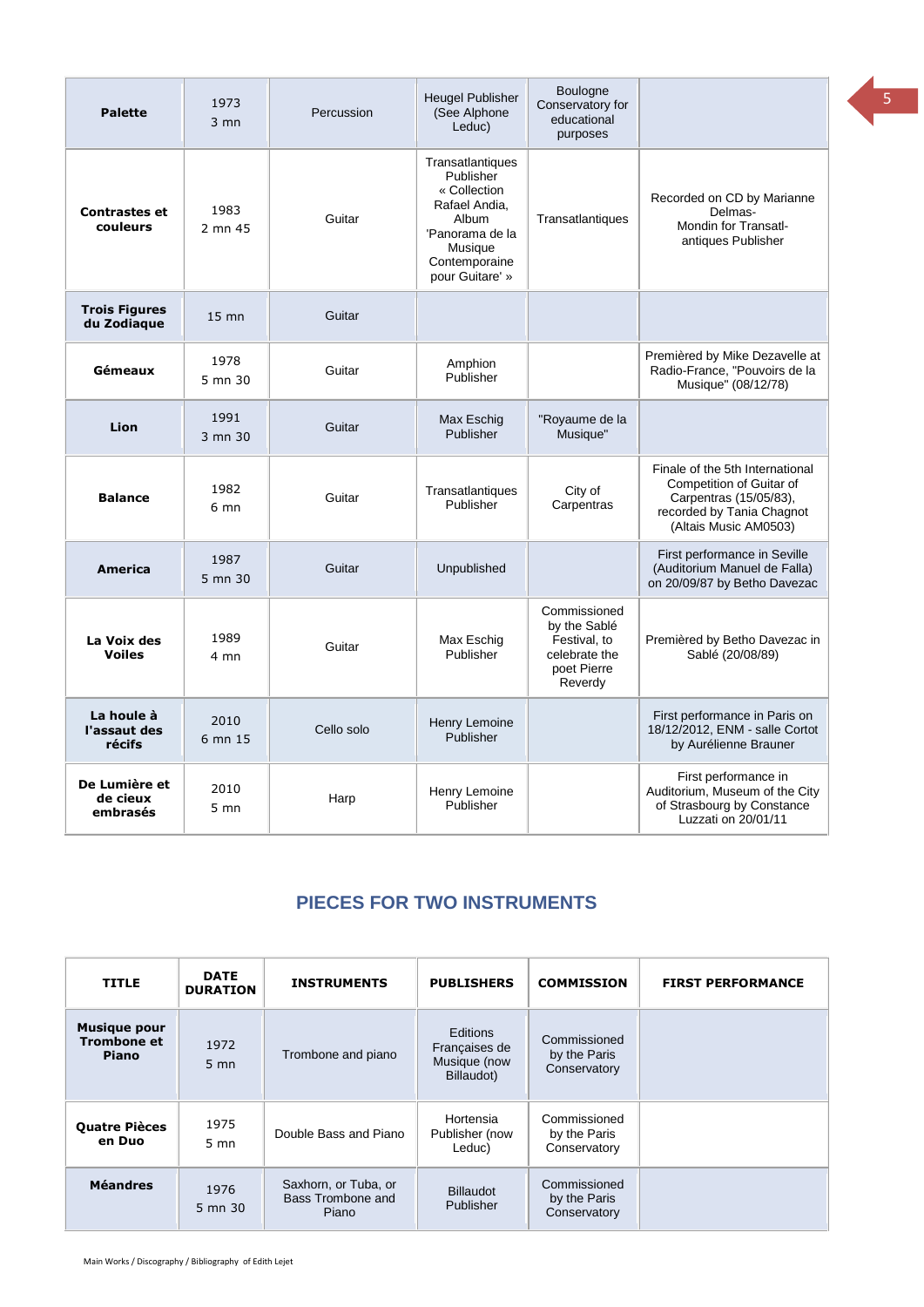| <b>Palette</b>                        | 1973<br>$3 \text{ mm}$ | Percussion | <b>Heugel Publisher</b><br>(See Alphone<br>Leduc)                                                                                         | <b>Boulogne</b><br>Conservatory for<br>educational<br>purposes                          |                                                                                                                                             |
|---------------------------------------|------------------------|------------|-------------------------------------------------------------------------------------------------------------------------------------------|-----------------------------------------------------------------------------------------|---------------------------------------------------------------------------------------------------------------------------------------------|
| <b>Contrastes et</b><br>couleurs      | 1983<br>2 mn 45        | Guitar     | Transatlantiques<br>Publisher<br>« Collection<br>Rafael Andia.<br>Album<br>'Panorama de la<br>Musique<br>Contemporaine<br>pour Guitare' » | Transatlantiques                                                                        | Recorded on CD by Marianne<br>Delmas-<br>Mondin for Transatl-<br>antiques Publisher                                                         |
| <b>Trois Figures</b><br>du Zodiague   | $15 \text{ mm}$        | Guitar     |                                                                                                                                           |                                                                                         |                                                                                                                                             |
| Gémeaux                               | 1978<br>5 mn 30        | Guitar     | Amphion<br>Publisher                                                                                                                      |                                                                                         | Premièred by Mike Dezavelle at<br>Radio-France, "Pouvoirs de la<br>Musique" (08/12/78)                                                      |
| Lion                                  | 1991<br>3 mn 30        | Guitar     | Max Eschig<br>Publisher                                                                                                                   | "Royaume de la<br>Musique"                                                              |                                                                                                                                             |
| <b>Balance</b>                        | 1982<br>6 mn           | Guitar     | Transatlantiques<br>Publisher                                                                                                             | City of<br>Carpentras                                                                   | Finale of the 5th International<br>Competition of Guitar of<br>Carpentras (15/05/83),<br>recorded by Tania Chagnot<br>(Altais Music AM0503) |
| America                               | 1987<br>5 mn 30        | Guitar     | Unpublished                                                                                                                               |                                                                                         | First performance in Seville<br>(Auditorium Manuel de Falla)<br>on 20/09/87 by Betho Davezac                                                |
| La Voix des<br><b>Voiles</b>          | 1989<br>4 mn           | Guitar     | Max Eschig<br>Publisher                                                                                                                   | Commissioned<br>by the Sablé<br>Festival, to<br>celebrate the<br>poet Pierre<br>Reverdy | Premièred by Betho Davezac in<br>Sablé (20/08/89)                                                                                           |
| La houle à<br>l'assaut des<br>récifs  | 2010<br>6 mn 15        | Cello solo | Henry Lemoine<br>Publisher                                                                                                                |                                                                                         | First performance in Paris on<br>18/12/2012, ENM - salle Cortot<br>by Aurélienne Brauner                                                    |
| De Lumière et<br>de cieux<br>embrasés | 2010<br>5 mn           | Harp       | Henry Lemoine<br>Publisher                                                                                                                |                                                                                         | First performance in<br>Auditorium, Museum of the City<br>of Strasbourg by Constance<br>Luzzati on 20/01/11                                 |

## **PIECES FOR TWO INSTRUMENTS**

<span id="page-4-0"></span>

| <b>TITLE</b>                                              | <b>DATE</b><br><b>DURATION</b> | <b>INSTRUMENTS</b>                                 | <b>PUBLISHERS</b>                                       | <b>COMMISSION</b>                            | <b>FIRST PERFORMANCE</b> |
|-----------------------------------------------------------|--------------------------------|----------------------------------------------------|---------------------------------------------------------|----------------------------------------------|--------------------------|
| <b>Musique pour</b><br><b>Trombone et</b><br><b>Piano</b> | 1972<br>$5 \text{ mm}$         | Trombone and piano                                 | Editions<br>Francaises de<br>Musique (now<br>Billaudot) | Commissioned<br>by the Paris<br>Conservatory |                          |
| <b>Quatre Pièces</b><br>en Duo                            | 1975<br>$5 \text{ mm}$         | Double Bass and Piano                              | Hortensia<br>Publisher (now<br>Leduc)                   | Commissioned<br>by the Paris<br>Conservatory |                          |
| <b>Méandres</b>                                           | 1976<br>5 mn 30                | Saxhorn, or Tuba, or<br>Bass Trombone and<br>Piano | <b>Billaudot</b><br>Publisher                           | Commissioned<br>by the Paris<br>Conservatory |                          |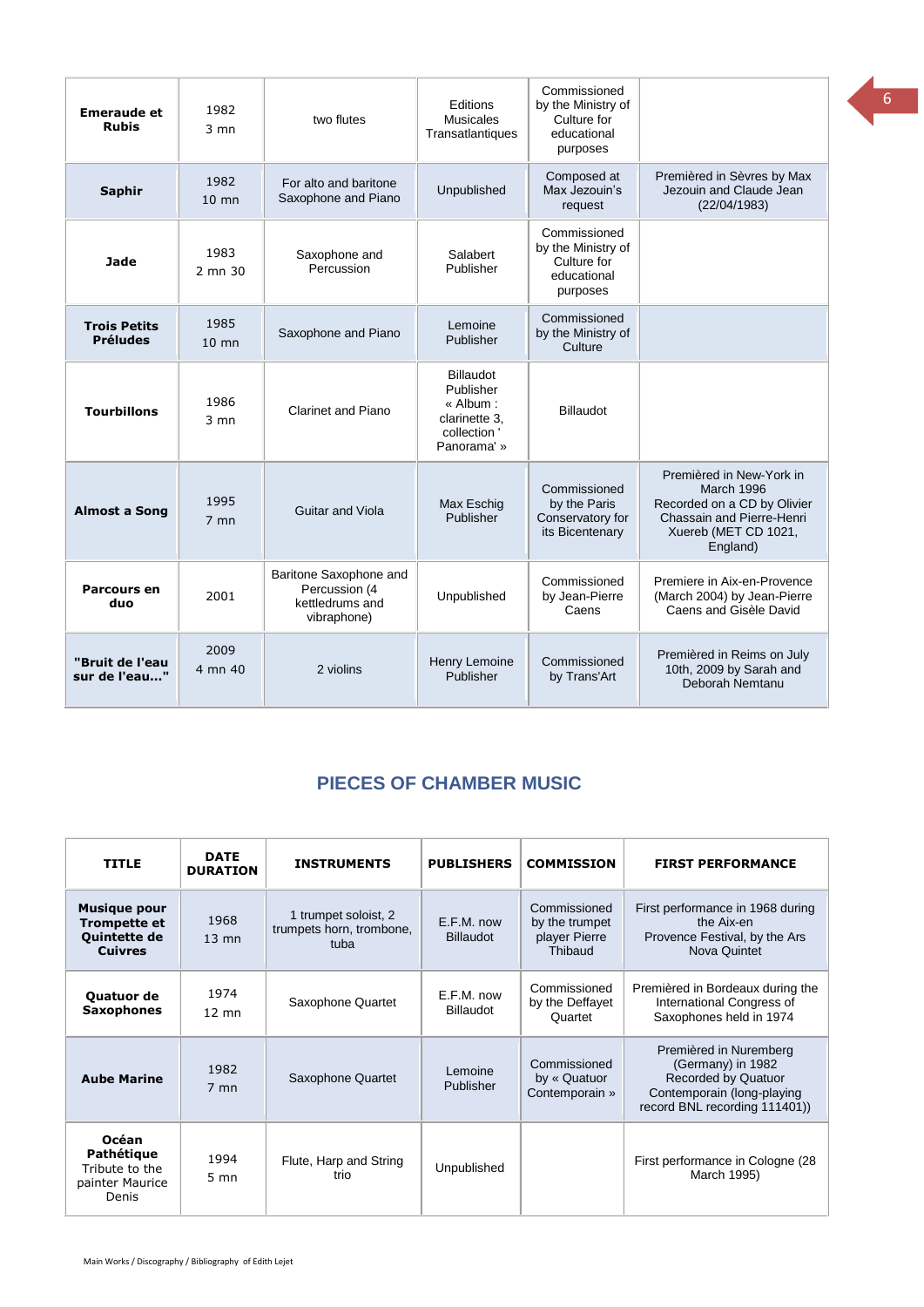| <b>Emeraude et</b><br><b>Rubis</b>     | 1982<br>$3 \text{ mm}$  | two flutes                                                                | <b>Editions</b><br><b>Musicales</b><br>Transatlantiques                                   | Commissioned<br>by the Ministry of<br>Culture for<br>educational<br>purposes |                                                                                                                                               |
|----------------------------------------|-------------------------|---------------------------------------------------------------------------|-------------------------------------------------------------------------------------------|------------------------------------------------------------------------------|-----------------------------------------------------------------------------------------------------------------------------------------------|
| <b>Saphir</b>                          | 1982<br>$10 \text{ mm}$ | For alto and baritone<br>Saxophone and Piano                              | Unpublished                                                                               | Composed at<br>Max Jezouin's<br>request                                      | Premièred in Sèvres by Max<br>Jezouin and Claude Jean<br>(22/04/1983)                                                                         |
| Jade                                   | 1983<br>2 mn 30         | Saxophone and<br>Percussion                                               | Salabert<br>Publisher                                                                     | Commissioned<br>by the Ministry of<br>Culture for<br>educational<br>purposes |                                                                                                                                               |
| <b>Trois Petits</b><br><b>Préludes</b> | 1985<br>$10$ mn         | Saxophone and Piano                                                       | Lemoine<br>Publisher                                                                      | Commissioned<br>by the Ministry of<br>Culture                                |                                                                                                                                               |
| <b>Tourbillons</b>                     | 1986<br>$3 \text{ mm}$  | Clarinet and Piano                                                        | <b>Billaudot</b><br>Publisher<br>« Album:<br>clarinette 3.<br>collection '<br>Panorama' » | Billaudot                                                                    |                                                                                                                                               |
| <b>Almost a Song</b>                   | 1995<br>$7$ mn          | Guitar and Viola                                                          | Max Eschig<br>Publisher                                                                   | Commissioned<br>by the Paris<br>Conservatory for<br>its Bicentenary          | Premièred in New-York in<br><b>March 1996</b><br>Recorded on a CD by Olivier<br>Chassain and Pierre-Henri<br>Xuereb (MET CD 1021,<br>England) |
| Parcours en<br>duo                     | 2001                    | Baritone Saxophone and<br>Percussion (4<br>kettledrums and<br>vibraphone) | Unpublished                                                                               | Commissioned<br>by Jean-Pierre<br>Caens                                      | Premiere in Aix-en-Provence<br>(March 2004) by Jean-Pierre<br>Caens and Gisèle David                                                          |
| "Bruit de l'eau<br>sur de l'eau"       | 2009<br>4 mn 40         | 2 violins                                                                 | Henry Lemoine<br>Publisher                                                                | Commissioned<br>by Trans'Art                                                 | Premièred in Reims on July<br>10th, 2009 by Sarah and<br>Deborah Nemtanu                                                                      |

### <span id="page-5-0"></span>**PIECES OF CHAMBER MUSIC**

| <b>TITLE</b>                                                                 | <b>DATE</b><br><b>DURATION</b> | <b>INSTRUMENTS</b>                                       | <b>PUBLISHERS</b>              | <b>COMMISSION</b>                                          | <b>FIRST PERFORMANCE</b>                                                                                                                 |
|------------------------------------------------------------------------------|--------------------------------|----------------------------------------------------------|--------------------------------|------------------------------------------------------------|------------------------------------------------------------------------------------------------------------------------------------------|
| <b>Musique pour</b><br><b>Trompette et</b><br>Quintette de<br><b>Cuivres</b> | 1968<br>$13 \text{ mm}$        | 1 trumpet soloist, 2<br>trumpets horn, trombone,<br>tuba | E.F.M. now<br><b>Billaudot</b> | Commissioned<br>by the trumpet<br>player Pierre<br>Thibaud | First performance in 1968 during<br>the Aix-en<br>Provence Festival, by the Ars<br>Nova Quintet                                          |
| Quatuor de<br><b>Saxophones</b>                                              | 1974<br>$12 \text{ mm}$        | Saxophone Quartet                                        | E.F.M. now<br><b>Billaudot</b> | Commissioned<br>by the Deffayet<br>Quartet                 | Premièred in Bordeaux during the<br>International Congress of<br>Saxophones held in 1974                                                 |
| <b>Aube Marine</b>                                                           | 1982<br>$7$ mn                 | Saxophone Quartet                                        | Lemoine<br>Publisher           | Commissioned<br>by « Quatuor<br>Contemporain »             | Premièred in Nuremberg<br>(Germany) in 1982<br><b>Recorded by Quatuor</b><br>Contemporain (long-playing<br>record BNL recording 111401)) |
| <b>Océan</b><br>Pathétique<br>Tribute to the<br>painter Maurice<br>Denis     | 1994<br>$5 \text{ mm}$         | Flute, Harp and String<br>trio                           | Unpublished                    |                                                            | First performance in Cologne (28)<br>March 1995)                                                                                         |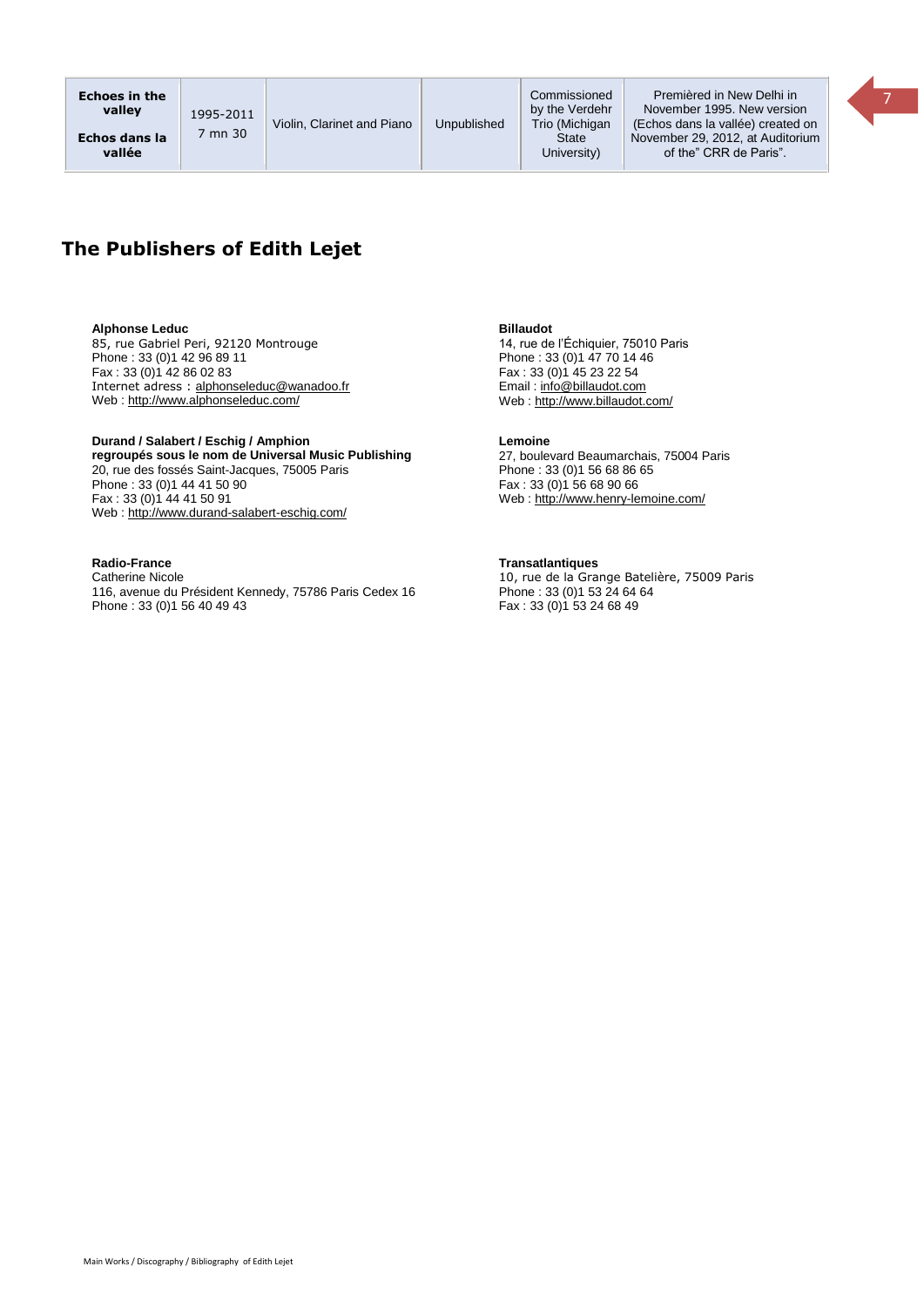

#### **Alphonse Leduc**

85, rue Gabriel Peri, 92120 Montrouge Phone : 33 (0)1 42 96 89 11 Fax : 33 (0)1 42 86 02 83 Internet adress : [alphonseleduc@wanadoo.fr](mailto:alphonseleduc@wanadoo.fr) Web [: http://www.alphonseleduc.com/](http://www.alphonseleduc.com/)

#### **Durand / Salabert / Eschig / Amphion regroupés sous le nom de Universal Music Publishing** 20, rue des fossés Saint-Jacques, 75005 Paris Phone : 33 (0)1 44 41 50 90 Fax: 33 (0)1 44 41 50 91 Web [: http://www.durand-salabert-eschig.com/](http://www.durand-salabert-eschig.com/)

#### **Radio-France**

Catherine Nicole 116, avenue du Président Kennedy, 75786 Paris Cedex 16 Phone : 33 (0)1 56 40 49 43

**Billaudot** 

14, rue de l'Échiquier, 75010 Paris Phone : 33 (0)1 47 70 14 46 Fax : 33 (0)1 45 23 22 54 Email [: info@billaudot.com](mailto:info@billaudot.com) Web [: http://www.billaudot.com/](http://www.billaudot.com/)

#### **Lemoine**

27, boulevard Beaumarchais, 75004 Paris Phone : 33 (0)1 56 68 86 65  $Fax : 33 (0)\overline{)1} 56 68 90 66$ Web [: http://www.henry-lemoine.com/](http://www.henry-lemoine.com/)

#### **Transatlantiques**

10, rue de la Grange Batelière, 75009 Paris Phone : 33 (0) 1 53 24 64 64  $Fax : 33 (0)1 53 24 68 49$ 

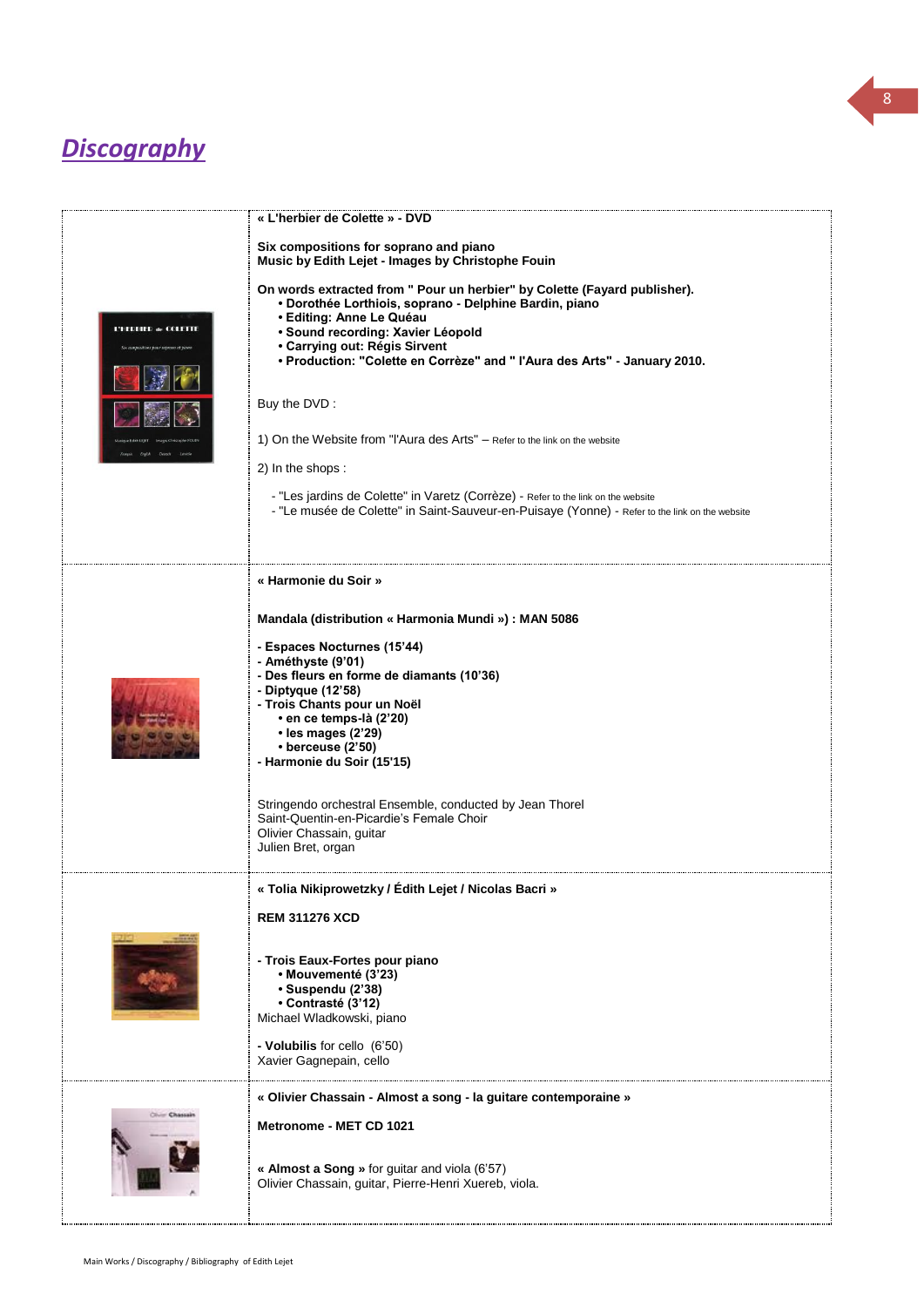# *Discography*

|                      | « L'herbier de Colette » - DVD                                                                                                                                                                                                                                                                                                                                                                                                                                                                                                                                                                                                                                                                                              |
|----------------------|-----------------------------------------------------------------------------------------------------------------------------------------------------------------------------------------------------------------------------------------------------------------------------------------------------------------------------------------------------------------------------------------------------------------------------------------------------------------------------------------------------------------------------------------------------------------------------------------------------------------------------------------------------------------------------------------------------------------------------|
| L'HERBIER de COLETTE | Six compositions for soprano and piano<br>Music by Edith Lejet - Images by Christophe Fouin<br>On words extracted from " Pour un herbier" by Colette (Fayard publisher).<br>· Dorothée Lorthiois, soprano - Delphine Bardin, piano<br>· Editing: Anne Le Quéau<br>· Sound recording: Xavier Léopold<br>• Carrying out: Régis Sirvent<br>· Production: "Colette en Corrèze" and " l'Aura des Arts" - January 2010.<br>Buy the DVD:<br>1) On the Website from "l'Aura des Arts" - Refer to the link on the website<br>2) In the shops:<br>- "Les jardins de Colette" in Varetz (Corrèze) - Refer to the link on the website<br>- "Le musée de Colette" in Saint-Sauveur-en-Puisaye (Yonne) - Refer to the link on the website |
|                      | « Harmonie du Soir »<br>Mandala (distribution « Harmonia Mundi ») : MAN 5086<br>- Espaces Nocturnes (15'44)<br>- Améthyste (9'01)<br>- Des fleurs en forme de diamants (10'36)<br>- Diptyque (12'58)<br>- Trois Chants pour un Noël<br>• en ce temps-là (2'20)<br>• les mages (2'29)<br>$\cdot$ berceuse (2'50)<br>- Harmonie du Soir (15'15)<br>Stringendo orchestral Ensemble, conducted by Jean Thorel<br>Saint-Quentin-en-Picardie's Female Choir<br>Olivier Chassain, guitar<br>Julien Bret, organ                                                                                                                                                                                                                     |
|                      | « Tolia Nikiprowetzky / Édith Lejet / Nicolas Bacri »<br><b>REM 311276 XCD</b><br>- Trois Eaux-Fortes pour piano<br>• Mouvementé (3'23)<br>· Suspendu (2'38)<br>• Contrasté (3'12)<br>Michael Wladkowski, piano<br>- Volubilis for cello (6'50)<br>Xavier Gagnepain, cello                                                                                                                                                                                                                                                                                                                                                                                                                                                  |
| Clinton Chass        | « Olivier Chassain - Almost a song - la guitare contemporaine »<br>Metronome - MET CD 1021<br>« Almost a Song » for guitar and viola (6'57)<br>Olivier Chassain, guitar, Pierre-Henri Xuereb, viola.                                                                                                                                                                                                                                                                                                                                                                                                                                                                                                                        |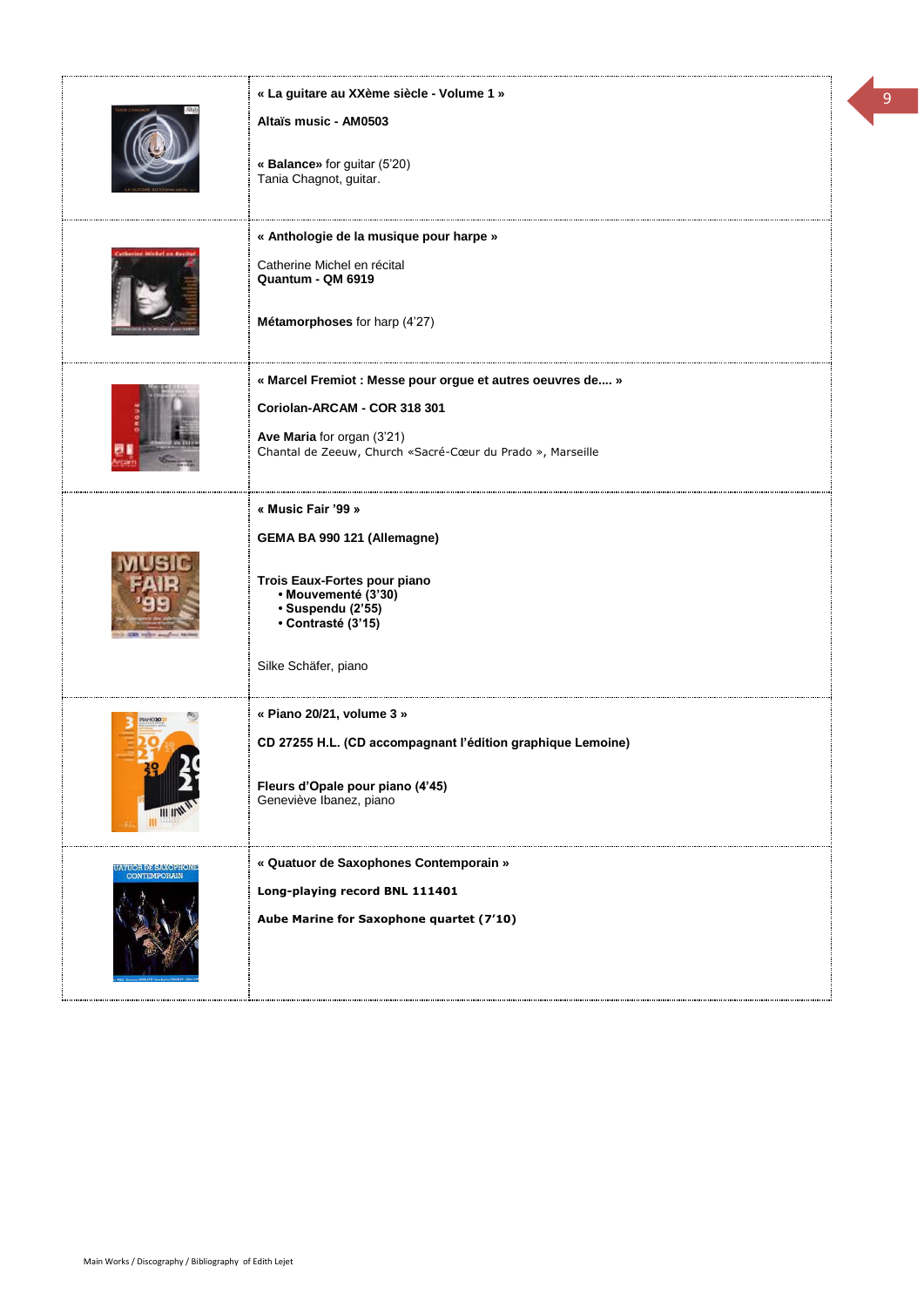|                                                | « La guitare au XXème siècle - Volume 1 »<br>Altaïs music - AM0503                                                         |  |
|------------------------------------------------|----------------------------------------------------------------------------------------------------------------------------|--|
|                                                | « Balance» for guitar (5'20)<br>Tania Chagnot, guitar.                                                                     |  |
|                                                | « Anthologie de la musique pour harpe »<br>Catherine Michel en récital<br>Quantum - QM 6919                                |  |
|                                                | Métamorphoses for harp (4'27)                                                                                              |  |
|                                                | « Marcel Fremiot : Messe pour orgue et autres oeuvres de »<br>Coriolan-ARCAM - COR 318 301                                 |  |
|                                                | Ave Maria for organ (3'21)<br>Chantal de Zeeuw, Church «Sacré-Cœur du Prado », Marseille                                   |  |
|                                                | « Music Fair '99 »<br>GEMA BA 990 121 (Allemagne)                                                                          |  |
|                                                | Trois Eaux-Fortes pour piano<br>• Mouvementé (3'30)<br>· Suspendu (2'55)<br>• Contrasté (3'15)                             |  |
|                                                | Silke Schäfer, piano                                                                                                       |  |
|                                                | « Piano 20/21, volume 3 »                                                                                                  |  |
|                                                | CD 27255 H.L. (CD accompagnant l'édition graphique Lemoine)<br>Fleurs d'Opale pour piano (4'45)<br>Geneviève Ibanez, piano |  |
| <b>IZULIOHDERWORTON</b><br><b>CONTEMPORAIN</b> | « Quatuor de Saxophones Contemporain »                                                                                     |  |
|                                                | Long-playing record BNL 111401<br>Aube Marine for Saxophone quartet (7'10)                                                 |  |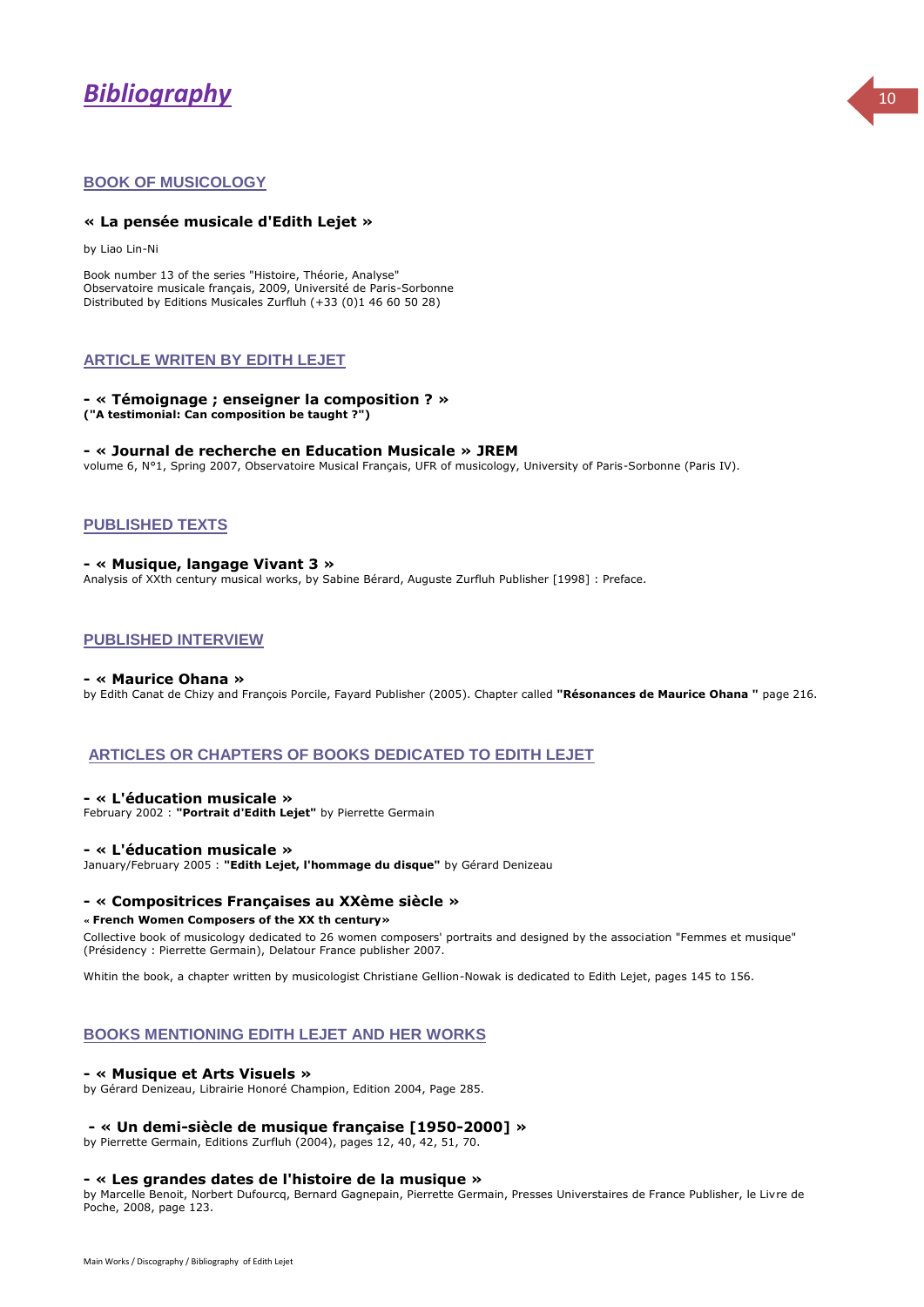# *Bibliography* <sup>10</sup>



#### **BOOK OF MUSICOLOGY**

#### **« La pensée musicale d'Edith Lejet »**

by Liao Lin-Ni

Book number 13 of the series "Histoire, Théorie, Analyse" Observatoire musicale français, 2009, Université de Paris-Sorbonne Distributed by Editions Musicales Zurfluh (+33 (0)1 46 60 50 28)

#### **ARTICLE WRITEN BY EDITH LEJET**

#### **- « Témoignage ; enseigner la composition ? » ("A testimonial: Can composition be taught ?")**

#### **- « Journal de recherche en Education Musicale » JREM**

volume 6, N°1, Spring 2007, Observatoire Musical Français, UFR of musicology, University of Paris-Sorbonne (Paris IV).

#### **PUBLISHED TEXTS**

#### **- « Musique, langage Vivant 3 »**

Analysis of XXth century musical works, by Sabine Bérard, Auguste Zurfluh Publisher [1998] : Preface.

#### **PUBLISHED INTERVIEW**

#### **- « Maurice Ohana »**

by Edith Canat de Chizy and François Porcile, Fayard Publisher (2005). Chapter called **"Résonances de Maurice Ohana "** page 216.

#### **ARTICLES OR CHAPTERS OF BOOKS DEDICATED TO EDITH LEJET**

#### **- « L'éducation musicale »**

February 2002 : **"Portrait d'Edith Lejet"** by Pierrette Germain

#### **- « L'éducation musicale »**

January/February 2005 : **"Edith Lejet, l'hommage du disque"** by Gérard Denizeau

#### **- « Compositrices Françaises au XXème siècle »**

#### **« French Women Composers of the XX th century»**

Collective book of musicology dedicated to 26 women composers' portraits and designed by the association "Femmes et musique" (Présidency : Pierrette Germain), Delatour France publisher 2007.

Whitin the book, a chapter written by musicologist Christiane Gellion-Nowak is dedicated to Edith Lejet, pages 145 to 156.

#### **BOOKS MENTIONING EDITH LEJET AND HER WORKS**

#### **- « Musique et Arts Visuels »**

by Gérard Denizeau, Librairie Honoré Champion, Edition 2004, Page 285.

#### **- « Un demi-siècle de musique française [1950-2000] »**

by Pierrette Germain, Editions Zurfluh (2004), pages 12, 40, 42, 51, 70.

#### **- « Les grandes dates de l'histoire de la musique »**

by Marcelle Benoit, Norbert Dufourcq, Bernard Gagnepain, Pierrette Germain, Presses Universtaires de France Publisher, le Livre de Poche, 2008, page 123.